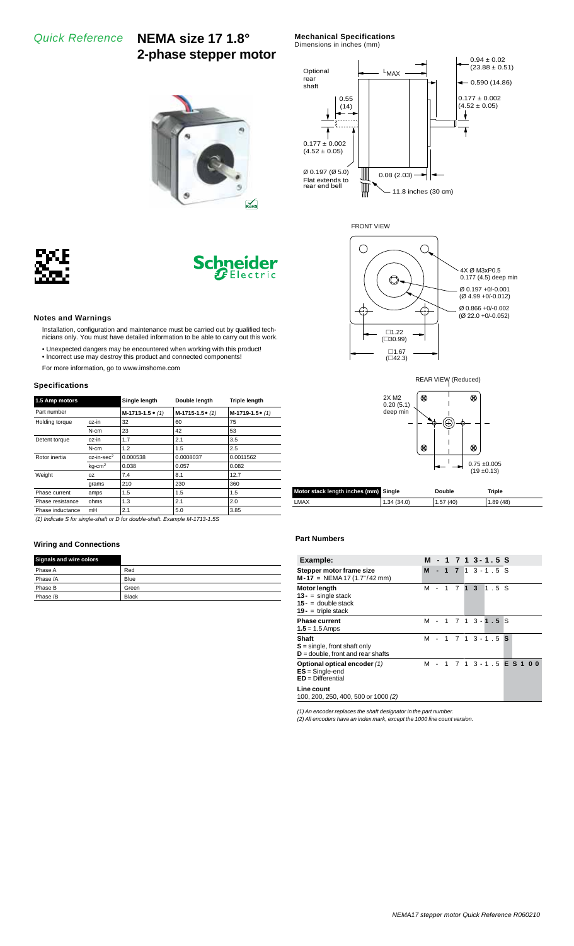*Quick Reference* **NEMA size 17 1.8° 2-phase stepper motor** **Mechanical Specifications**

Dimensions in inches (mm)







 $R<sub>o</sub>$ HS

#### **Notes and Warnings**

- Installation, configuration and maintenance must be carried out by qualified technicians only. You must have detailed information to be able to carry out this work.
- Unexpected dangers may be encountered when working with this product!
- Incorrect use may destroy this product and connected components! For more information, go to www.imshome.com

# **Specifications**

| 1.5 Amp motors   |                       | Single length              | Double length      | <b>Triple length</b> |  |  |  |
|------------------|-----------------------|----------------------------|--------------------|----------------------|--|--|--|
| Part number      |                       | $M-1713-1.5$ $\bullet$ (1) | $M-1715-1.5$ $(1)$ | $M-1719-1.5$ $(1)$   |  |  |  |
| Holding torque   | oz-in                 | 32                         | 60                 | 75                   |  |  |  |
|                  | N-cm                  | 23                         | 42                 | 53                   |  |  |  |
| Detent torque    | oz-in                 | 1.7                        | 2.1                | 3.5                  |  |  |  |
|                  | $N-cm$                | 1.2                        | 1.5                | 2.5                  |  |  |  |
| Rotor inertia    | $oz-in\text{-}sec^2$  | 0.000538                   | 0.0008037          | 0.0011562            |  |  |  |
|                  | $kq$ -cm <sup>2</sup> | 0.038                      | 0.057              | 0.082                |  |  |  |
| Weight           | OZ                    | 7.4                        | 8.1                | 12.7                 |  |  |  |
|                  | grams                 | 210                        | 230                | 360                  |  |  |  |
| Phase current    | amps                  | 1.5                        | 1.5                | 1.5                  |  |  |  |
| Phase resistance | ohms                  | 1.3                        | 2.1                | 2.0                  |  |  |  |
| Phase inductance | mH                    | 2.1                        | 5.0                | 3.85                 |  |  |  |

*(1) Indicate S for single-shaft or D for double-shaft. Example M-1713-1.5S*

#### **Wiring and Connections**

| <b>Signals and wire colors</b> |              |
|--------------------------------|--------------|
| Phase A                        | Red          |
| Phase /A                       | Blue         |
| Phase B                        | Green        |
| Phase /B                       | <b>Black</b> |





| Motor stack length inches (mm) Single |            | Double   | Triple   |  |  |  |
|---------------------------------------|------------|----------|----------|--|--|--|
| $\_MAX$                               | 1.34(34.0) | 1.57(40) | 1.89(48) |  |  |  |

#### **Part Numbers**

| Example:                                                                                       | м |  |  | - 1 7 1 3 - 1 . 5 S        |      |  |  |
|------------------------------------------------------------------------------------------------|---|--|--|----------------------------|------|--|--|
| Stepper motor frame size<br>$M-17 = NEMA 17 (1.7n/42 mm)$                                      | M |  |  | $-1$ 7 1 3 - 1 . 5 S       |      |  |  |
| <b>Motor length</b><br>$13 -$ = single stack<br>$15 - 4$ double stack<br>$19 -$ = triple stack | м |  |  | $1 \t7 \t1 \t3$            | 1.5S |  |  |
| <b>Phase current</b><br>$1.5 = 1.5$ Amps                                                       | м |  |  | $-1$ 7 1 3 $-1$ $-5$ S     |      |  |  |
| Shaft<br>$S = \text{single}$ , front shaft only<br>$D =$ double, front and rear shafts         | м |  |  | $-1$ 7 1 3 $-1$ 5 S        |      |  |  |
| Optional optical encoder (1)<br>$ES = Single-end$<br>$ED = Differential$                       | м |  |  | $-1$ 7 1 3 - 1 5 E S 1 0 0 |      |  |  |
| Line count<br>100, 200, 250, 400, 500 or 1000 (2)                                              |   |  |  |                            |      |  |  |

*(1) An encoder replaces the shaft designator in the part number. (2) All encoders have an index mark, except the 1000 line count version.*